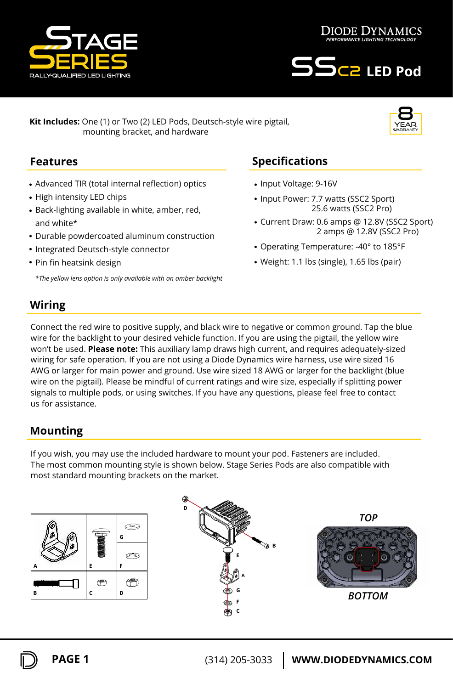

year 8 warranty



**Kit Includes:** One (1) or Two (2) LED Pods, Deutsch-style wire pigtail, mounting bracket, and hardware

#### **Features**

- Advanced TIR (total internal reflection) optics
- High intensity LED chips
- Back-lighting available in white, amber, red, and white\*
- Durable powdercoated aluminum construction
- Integrated Deutsch-style connector
- Pin fin heatsink design

*\*The yellow lens option is only available with an amber backlight*

# **Specifications**

- Input Voltage: 9-16V
- Input Power: 7.7 watts (SSC2 Sport) 25.6 watts (SSC2 Pro)
- Current Draw: 0.6 amps @ 12.8V (SSC2 Sport)  2 amps @ 12.8V (SSC2 Pro)
- Operating Temperature: -40° to 185°F
- Weight: 1.1 lbs (single), 1.65 lbs (pair)

## **Wiring**

Connect the red wire to positive supply, and black wire to negative or common ground. Tap the blue wire for the backlight to your desired vehicle function. If you are using the pigtail, the yellow wire won't be used. **Please note:** This auxiliary lamp draws high current, and requires adequately-sized wiring for safe operation. If you are not using a Diode Dynamics wire harness, use wire sized 16 AWG or larger for main power and ground. Use wire sized 18 AWG or larger for the backlight (blue wire on the pigtail). Please be mindful of current ratings and wire size, especially if splitting power signals to multiple pods, or using switches. If you have any questions, please feel free to contact us for assistance.

### **Mounting**

If you wish, you may use the included hardware to mount your pod. Fasteners are included. The most common mounting style is shown below. Stage Series Pods are also compatible with most standard mounting brackets on the market.